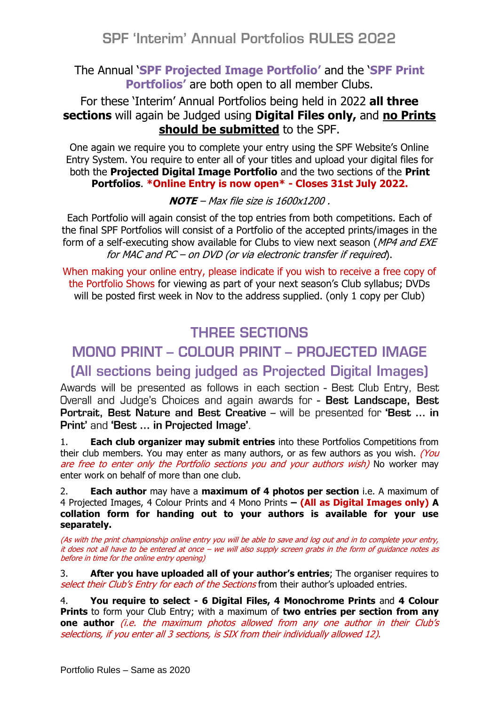# **SPF 'Interim' Annual Portfolios RULES 2022**

#### The Annual '**SPF Projected Image Portfolio'** and the '**SPF Print Portfolios'** are both open to all member Clubs.

### For these 'Interim' Annual Portfolios being held in 2022 **all three sections** will again be Judged using **Digital Files only,** and **no Prints should be submitted** to the SPF.

One again we require you to complete your entry using the SPF Website's Online Entry System. You require to enter all of your titles and upload your digital files for both the **Projected Digital Image Portfolio** and the two sections of the **Print Portfolios**. **\*Online Entry is now open\* - Closes 31st July 2022.** 

**NOTE** – Max file size is 1600x1200 .

Each Portfolio will again consist of the top entries from both competitions. Each of the final SPF Portfolios will consist of a Portfolio of the accepted prints/images in the form of a self-executing show available for Clubs to view next season (MP4 and EXE for MAC and PC – on DVD (or via electronic transfer if required).

When making your online entry, please indicate if you wish to receive a free copy of the Portfolio Shows for viewing as part of your next season's Club syllabus; DVDs will be posted first week in Nov to the address supplied. (only 1 copy per Club)

# **THREE SECTIONS**

# MONO PRINT - COLOUR PRINT - PROJECTED IMAGE

# (All sections being judged as Projected Digital Images)

Awards will be presented as follows in each section - Best Club Entry, Best Overall and Judge's Choices and again awards for - Best Landscape, Best **Portrait, Best Nature and Best Creative – will be presented for 'Best ... in** Print' and 'Best ... in Projected Image'.

1. **Each club organizer may submit entries** into these Portfolios Competitions from their club members. You may enter as many authors, or as few authors as you wish. *(You* are free to enter only the Portfolio sections you and your authors wish) No worker may enter work on behalf of more than one club.

2. **Each author** may have a **maximum of 4 photos per section** i.e. A maximum of 4 Projected Images, 4 Colour Prints and 4 Mono Prints **– (All as Digital Images only) A collation form for handing out to your authors is available for your use separately.**

(As with the print championship online entry you will be able to save and log out and in to complete your entry, it does not all have to be entered at once – we will also supply screen grabs in the form of guidance notes as before in time for the online entry opening)

3. **After you have uploaded all of your author's entries**; The organiser requires to select their Club's Entry for each of the Sections from their author's uploaded entries.

4. **You require to select - 6 Digital Files, 4 Monochrome Prints** and **4 Colour Prints** to form your Club Entry; with a maximum of **two entries per section from any one author** (i.e. the maximum photos allowed from any one author in their Club's selections, if you enter all 3 sections, is SIX from their individually allowed 12).